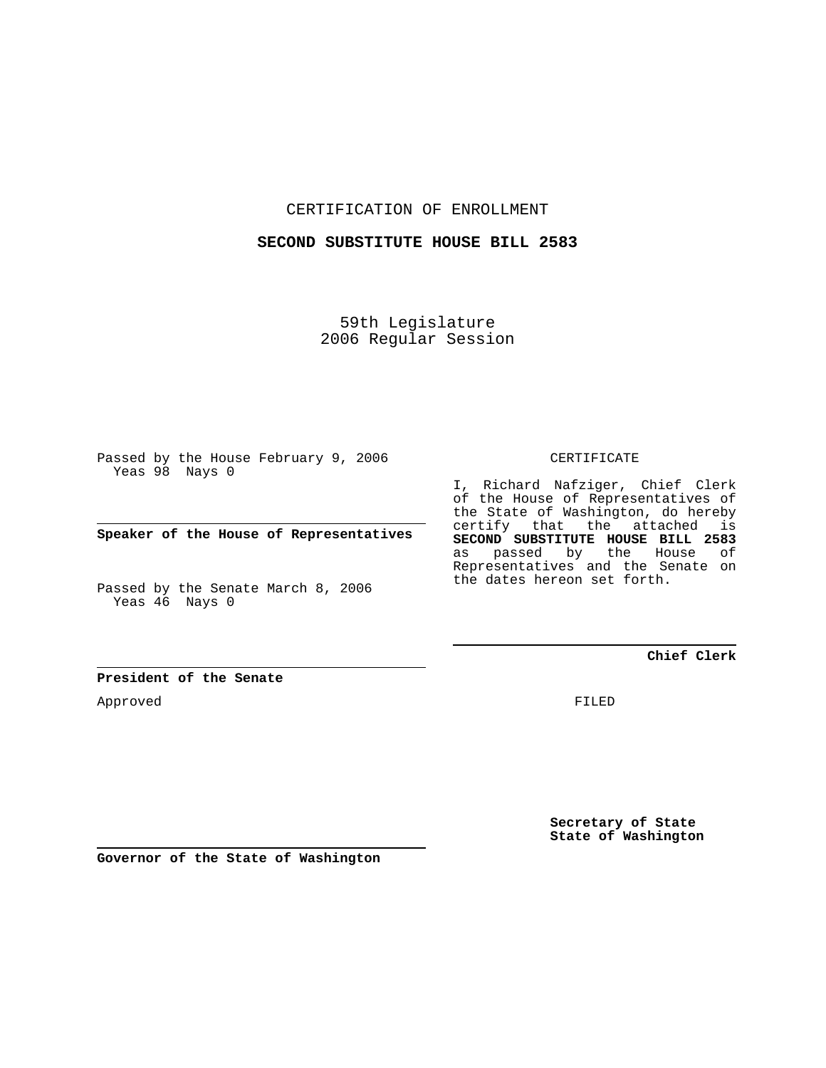CERTIFICATION OF ENROLLMENT

## **SECOND SUBSTITUTE HOUSE BILL 2583**

59th Legislature 2006 Regular Session

Passed by the House February 9, 2006 Yeas 98 Nays 0

**Speaker of the House of Representatives**

Passed by the Senate March 8, 2006 Yeas 46 Nays 0

#### CERTIFICATE

I, Richard Nafziger, Chief Clerk of the House of Representatives of the State of Washington, do hereby certify that the attached is **SECOND SUBSTITUTE HOUSE BILL 2583** as passed by the House of Representatives and the Senate on the dates hereon set forth.

#### **Chief Clerk**

**President of the Senate**

Approved

FILED

**Secretary of State State of Washington**

**Governor of the State of Washington**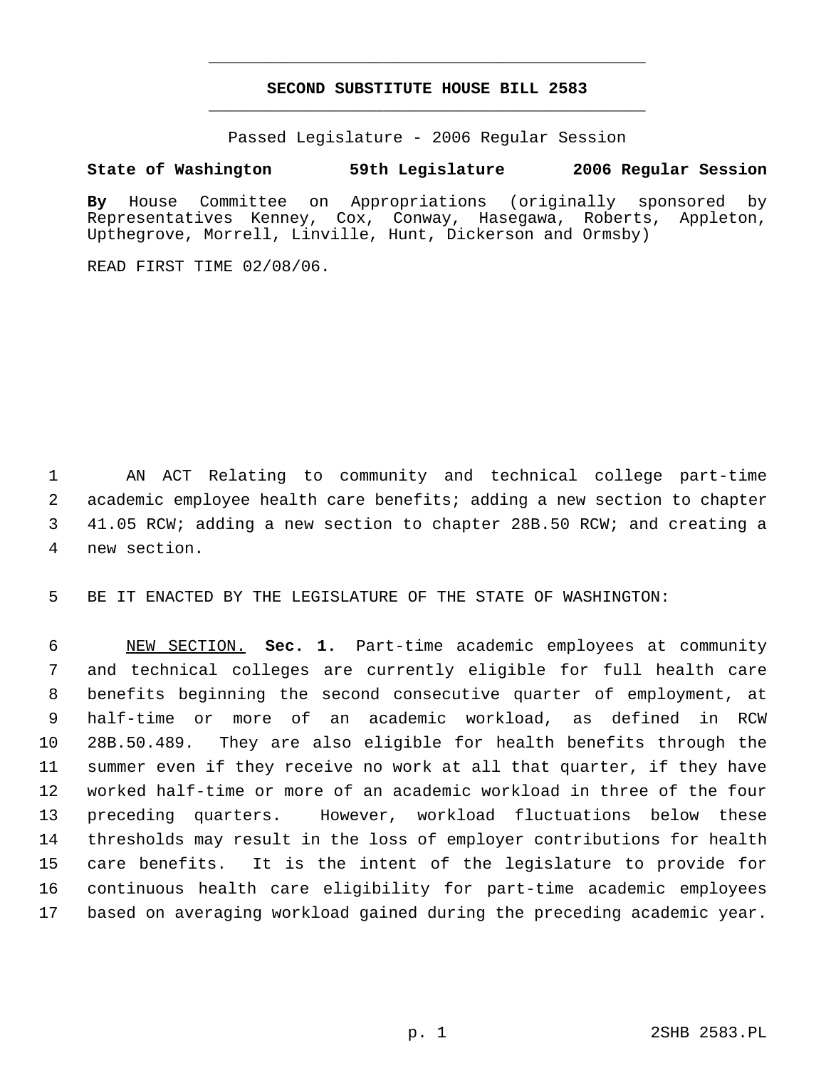# **SECOND SUBSTITUTE HOUSE BILL 2583** \_\_\_\_\_\_\_\_\_\_\_\_\_\_\_\_\_\_\_\_\_\_\_\_\_\_\_\_\_\_\_\_\_\_\_\_\_\_\_\_\_\_\_\_\_

\_\_\_\_\_\_\_\_\_\_\_\_\_\_\_\_\_\_\_\_\_\_\_\_\_\_\_\_\_\_\_\_\_\_\_\_\_\_\_\_\_\_\_\_\_

Passed Legislature - 2006 Regular Session

### **State of Washington 59th Legislature 2006 Regular Session**

**By** House Committee on Appropriations (originally sponsored by Representatives Kenney, Cox, Conway, Hasegawa, Roberts, Appleton, Upthegrove, Morrell, Linville, Hunt, Dickerson and Ormsby)

READ FIRST TIME 02/08/06.

 AN ACT Relating to community and technical college part-time academic employee health care benefits; adding a new section to chapter 41.05 RCW; adding a new section to chapter 28B.50 RCW; and creating a new section.

BE IT ENACTED BY THE LEGISLATURE OF THE STATE OF WASHINGTON:

 NEW SECTION. **Sec. 1.** Part-time academic employees at community and technical colleges are currently eligible for full health care benefits beginning the second consecutive quarter of employment, at half-time or more of an academic workload, as defined in RCW 28B.50.489. They are also eligible for health benefits through the summer even if they receive no work at all that quarter, if they have worked half-time or more of an academic workload in three of the four preceding quarters. However, workload fluctuations below these thresholds may result in the loss of employer contributions for health care benefits. It is the intent of the legislature to provide for continuous health care eligibility for part-time academic employees based on averaging workload gained during the preceding academic year.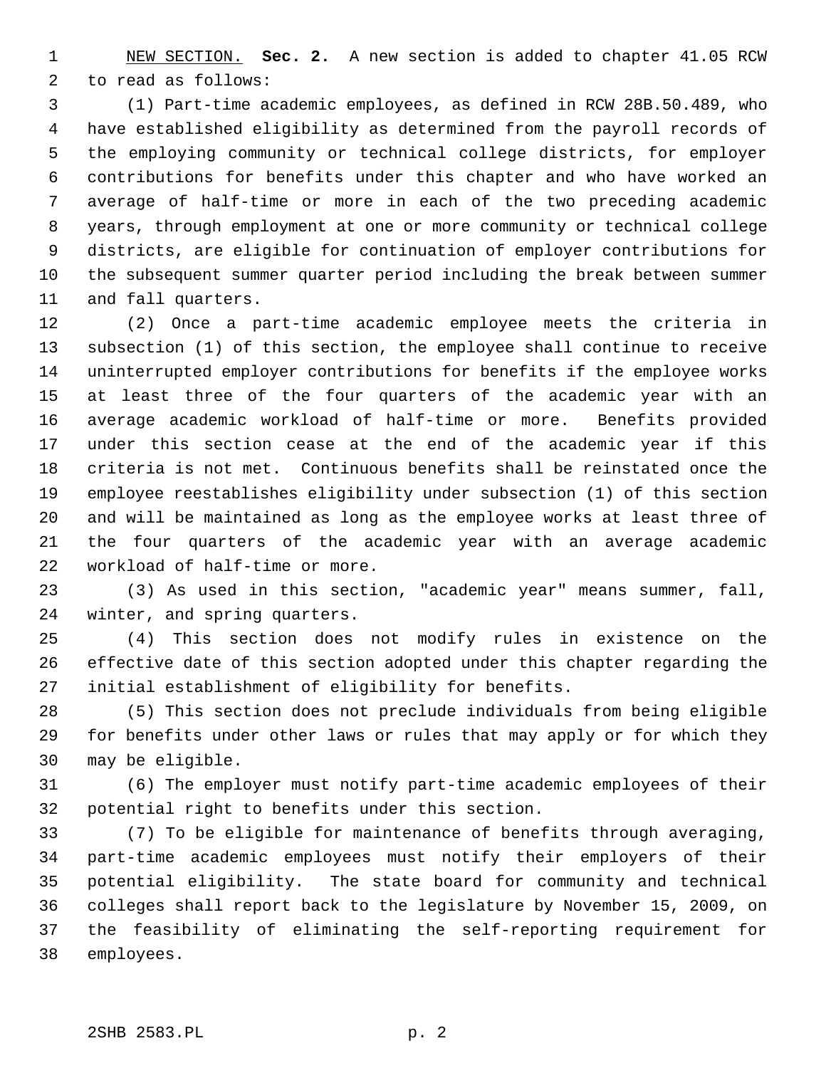NEW SECTION. **Sec. 2.** A new section is added to chapter 41.05 RCW to read as follows:

 (1) Part-time academic employees, as defined in RCW 28B.50.489, who have established eligibility as determined from the payroll records of the employing community or technical college districts, for employer contributions for benefits under this chapter and who have worked an average of half-time or more in each of the two preceding academic years, through employment at one or more community or technical college districts, are eligible for continuation of employer contributions for the subsequent summer quarter period including the break between summer and fall quarters.

 (2) Once a part-time academic employee meets the criteria in subsection (1) of this section, the employee shall continue to receive uninterrupted employer contributions for benefits if the employee works at least three of the four quarters of the academic year with an average academic workload of half-time or more. Benefits provided under this section cease at the end of the academic year if this criteria is not met. Continuous benefits shall be reinstated once the employee reestablishes eligibility under subsection (1) of this section and will be maintained as long as the employee works at least three of the four quarters of the academic year with an average academic workload of half-time or more.

 (3) As used in this section, "academic year" means summer, fall, winter, and spring quarters.

 (4) This section does not modify rules in existence on the effective date of this section adopted under this chapter regarding the initial establishment of eligibility for benefits.

 (5) This section does not preclude individuals from being eligible for benefits under other laws or rules that may apply or for which they may be eligible.

 (6) The employer must notify part-time academic employees of their potential right to benefits under this section.

 (7) To be eligible for maintenance of benefits through averaging, part-time academic employees must notify their employers of their potential eligibility. The state board for community and technical colleges shall report back to the legislature by November 15, 2009, on the feasibility of eliminating the self-reporting requirement for employees.